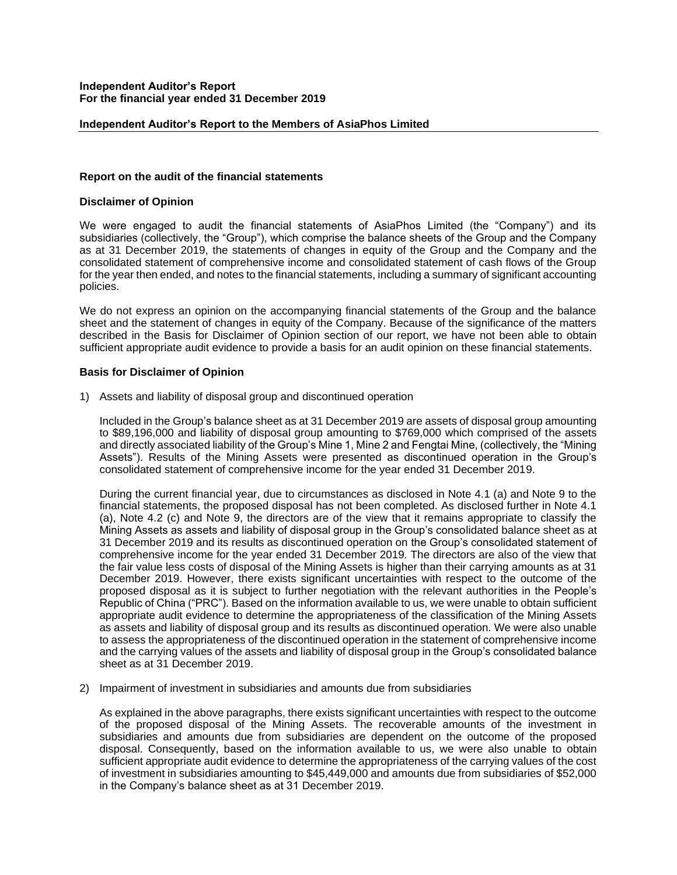## **Independent Auditor's Report to the Members of AsiaPhos Limited**

### **Report on the audit of the financial statements**

### **Disclaimer of Opinion**

We were engaged to audit the financial statements of AsiaPhos Limited (the "Company") and its subsidiaries (collectively, the "Group"), which comprise the balance sheets of the Group and the Company as at 31 December 2019, the statements of changes in equity of the Group and the Company and the consolidated statement of comprehensive income and consolidated statement of cash flows of the Group for the year then ended, and notes to the financial statements, including a summary of significant accounting policies.

We do not express an opinion on the accompanying financial statements of the Group and the balance sheet and the statement of changes in equity of the Company. Because of the significance of the matters described in the Basis for Disclaimer of Opinion section of our report, we have not been able to obtain sufficient appropriate audit evidence to provide a basis for an audit opinion on these financial statements.

## **Basis for Disclaimer of Opinion**

1) Assets and liability of disposal group and discontinued operation

Included in the Group's balance sheet as at 31 December 2019 are assets of disposal group amounting to \$89,196,000 and liability of disposal group amounting to \$769,000 which comprised of the assets and directly associated liability of the Group's Mine 1, Mine 2 and Fengtai Mine, (collectively, the "Mining Assets"). Results of the Mining Assets were presented as discontinued operation in the Group's consolidated statement of comprehensive income for the year ended 31 December 2019.

During the current financial year, due to circumstances as disclosed in Note 4.1 (a) and Note 9 to the financial statements, the proposed disposal has not been completed. As disclosed further in Note 4.1 (a), Note 4.2 (c) and Note 9, the directors are of the view that it remains appropriate to classify the Mining Assets as assets and liability of disposal group in the Group's consolidated balance sheet as at 31 December 2019 and its results as discontinued operation on the Group's consolidated statement of comprehensive income for the year ended 31 December 2019. The directors are also of the view that the fair value less costs of disposal of the Mining Assets is higher than their carrying amounts as at 31 December 2019. However, there exists significant uncertainties with respect to the outcome of the proposed disposal as it is subject to further negotiation with the relevant authorities in the People's Republic of China ("PRC"). Based on the information available to us, we were unable to obtain sufficient appropriate audit evidence to determine the appropriateness of the classification of the Mining Assets as assets and liability of disposal group and its results as discontinued operation. We were also unable to assess the appropriateness of the discontinued operation in the statement of comprehensive income and the carrying values of the assets and liability of disposal group in the Group's consolidated balance sheet as at 31 December 2019.

2) Impairment of investment in subsidiaries and amounts due from subsidiaries

As explained in the above paragraphs, there exists significant uncertainties with respect to the outcome of the proposed disposal of the Mining Assets. The recoverable amounts of the investment in subsidiaries and amounts due from subsidiaries are dependent on the outcome of the proposed disposal. Consequently, based on the information available to us, we were also unable to obtain sufficient appropriate audit evidence to determine the appropriateness of the carrying values of the cost of investment in subsidiaries amounting to \$45,449,000 and amounts due from subsidiaries of \$52,000 in the Company's balance sheet as at 31 December 2019.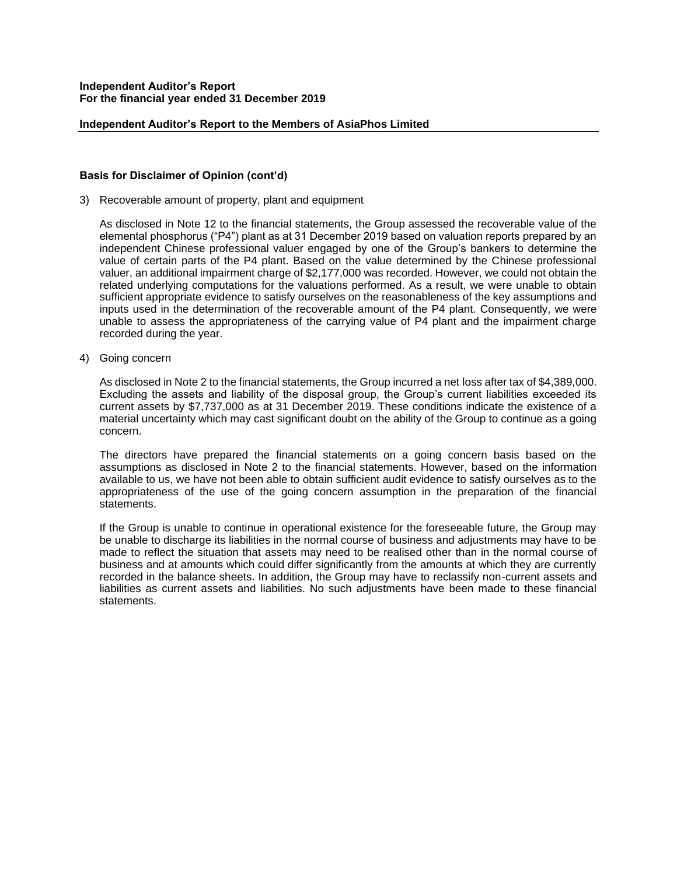#### **Independent Auditor's Report to the Members of AsiaPhos Limited**

# **Basis for Disclaimer of Opinion (cont'd)**

3) Recoverable amount of property, plant and equipment

As disclosed in Note 12 to the financial statements, the Group assessed the recoverable value of the elemental phosphorus ("P4") plant as at 31 December 2019 based on valuation reports prepared by an independent Chinese professional valuer engaged by one of the Group's bankers to determine the value of certain parts of the P4 plant. Based on the value determined by the Chinese professional valuer, an additional impairment charge of \$2,177,000 was recorded. However, we could not obtain the related underlying computations for the valuations performed. As a result, we were unable to obtain sufficient appropriate evidence to satisfy ourselves on the reasonableness of the key assumptions and inputs used in the determination of the recoverable amount of the P4 plant. Consequently, we were unable to assess the appropriateness of the carrying value of P4 plant and the impairment charge recorded during the year.

4) Going concern

As disclosed in Note 2 to the financial statements, the Group incurred a net loss after tax of \$4,389,000. Excluding the assets and liability of the disposal group, the Group's current liabilities exceeded its current assets by \$7,737,000 as at 31 December 2019. These conditions indicate the existence of a material uncertainty which may cast significant doubt on the ability of the Group to continue as a going concern.

The directors have prepared the financial statements on a going concern basis based on the assumptions as disclosed in Note 2 to the financial statements. However, based on the information available to us, we have not been able to obtain sufficient audit evidence to satisfy ourselves as to the appropriateness of the use of the going concern assumption in the preparation of the financial statements.

If the Group is unable to continue in operational existence for the foreseeable future, the Group may be unable to discharge its liabilities in the normal course of business and adjustments may have to be made to reflect the situation that assets may need to be realised other than in the normal course of business and at amounts which could differ significantly from the amounts at which they are currently recorded in the balance sheets. In addition, the Group may have to reclassify non-current assets and liabilities as current assets and liabilities. No such adjustments have been made to these financial statements.